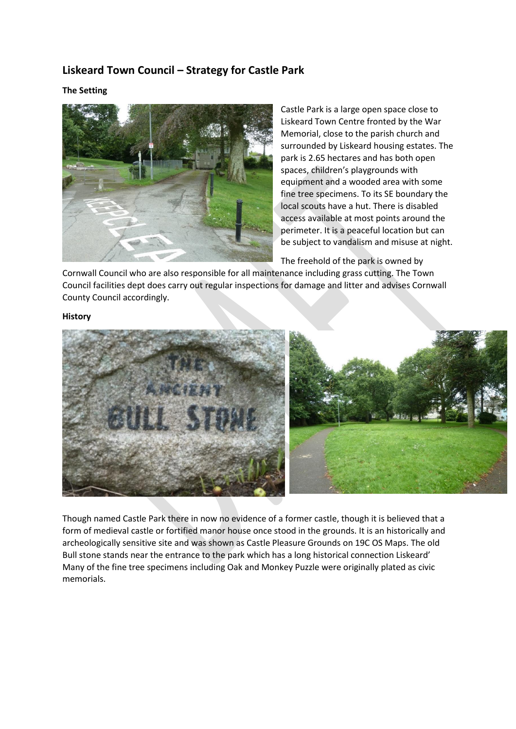# **Liskeard Town Council – Strategy for Castle Park**

# **The Setting**



Castle Park is a large open space close to Liskeard Town Centre fronted by the War Memorial, close to the parish church and surrounded by Liskeard housing estates. The park is 2.65 hectares and has both open spaces, children's playgrounds with equipment and a wooded area with some fine tree specimens. To its SE boundary the local scouts have a hut. There is disabled access available at most points around the perimeter. It is a peaceful location but can be subject to vandalism and misuse at night.

The freehold of the park is owned by

Cornwall Council who are also responsible for all maintenance including grass cutting. The Town Council facilities dept does carry out regular inspections for damage and litter and advises Cornwall County Council accordingly.

#### **History**



Though named Castle Park there in now no evidence of a former castle, though it is believed that a form of medieval castle or fortified manor house once stood in the grounds. It is an historically and archeologically sensitive site and was shown as Castle Pleasure Grounds on 19C OS Maps. The old Bull stone stands near the entrance to the park which has a long historical connection Liskeard' Many of the fine tree specimens including Oak and Monkey Puzzle were originally plated as civic memorials.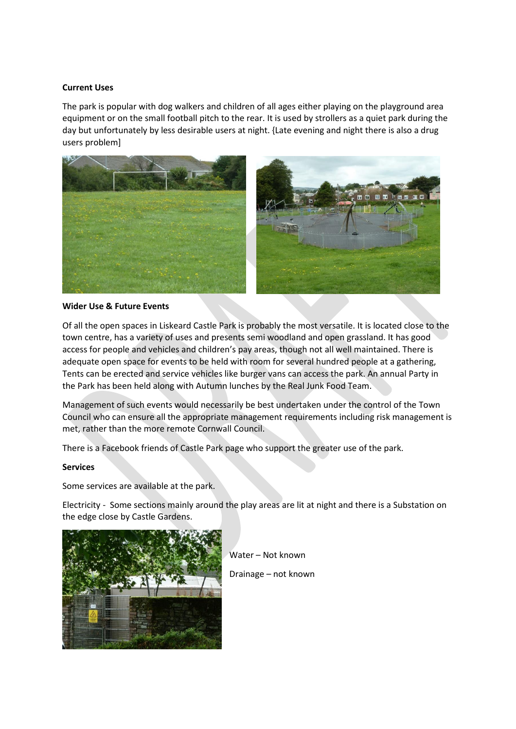### **Current Uses**

The park is popular with dog walkers and children of all ages either playing on the playground area equipment or on the small football pitch to the rear. It is used by strollers as a quiet park during the day but unfortunately by less desirable users at night. {Late evening and night there is also a drug users problem]



### **Wider Use & Future Events**

Of all the open spaces in Liskeard Castle Park is probably the most versatile. It is located close to the town centre, has a variety of uses and presents semi woodland and open grassland. It has good access for people and vehicles and children's pay areas, though not all well maintained. There is adequate open space for events to be held with room for several hundred people at a gathering, Tents can be erected and service vehicles like burger vans can access the park. An annual Party in the Park has been held along with Autumn lunches by the Real Junk Food Team.

Management of such events would necessarily be best undertaken under the control of the Town Council who can ensure all the appropriate management requirements including risk management is met, rather than the more remote Cornwall Council.

There is a Facebook friends of Castle Park page who support the greater use of the park.

#### **Services**

Some services are available at the park.

Electricity - Some sections mainly around the play areas are lit at night and there is a Substation on the edge close by Castle Gardens.



Water – Not known

Drainage – not known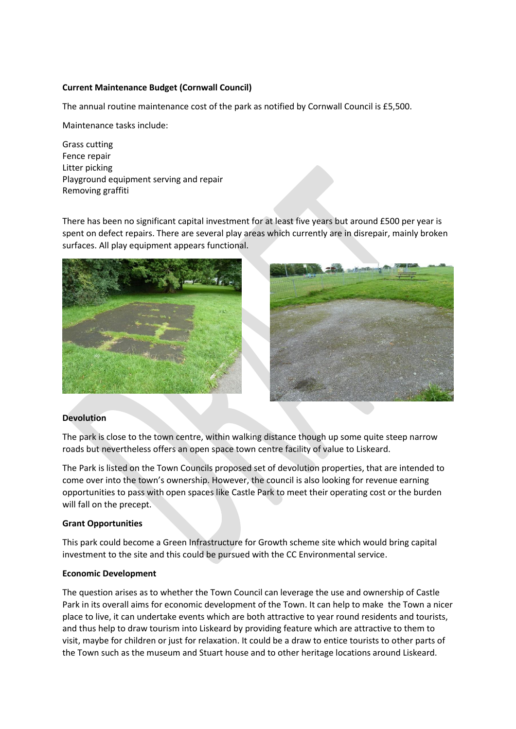# **Current Maintenance Budget (Cornwall Council)**

The annual routine maintenance cost of the park as notified by Cornwall Council is £5,500.

Maintenance tasks include:

Grass cutting Fence repair Litter picking Playground equipment serving and repair Removing graffiti

There has been no significant capital investment for at least five years but around £500 per year is spent on defect repairs. There are several play areas which currently are in disrepair, mainly broken surfaces. All play equipment appears functional.





### **Devolution**

The park is close to the town centre, within walking distance though up some quite steep narrow roads but nevertheless offers an open space town centre facility of value to Liskeard.

The Park is listed on the Town Councils proposed set of devolution properties, that are intended to come over into the town's ownership. However, the council is also looking for revenue earning opportunities to pass with open spaces like Castle Park to meet their operating cost or the burden will fall on the precept.

### **Grant Opportunities**

This park could become a Green Infrastructure for Growth scheme site which would bring capital investment to the site and this could be pursued with the CC Environmental service.

### **Economic Development**

The question arises as to whether the Town Council can leverage the use and ownership of Castle Park in its overall aims for economic development of the Town. It can help to make the Town a nicer place to live, it can undertake events which are both attractive to year round residents and tourists, and thus help to draw tourism into Liskeard by providing feature which are attractive to them to visit, maybe for children or just for relaxation. It could be a draw to entice tourists to other parts of the Town such as the museum and Stuart house and to other heritage locations around Liskeard.